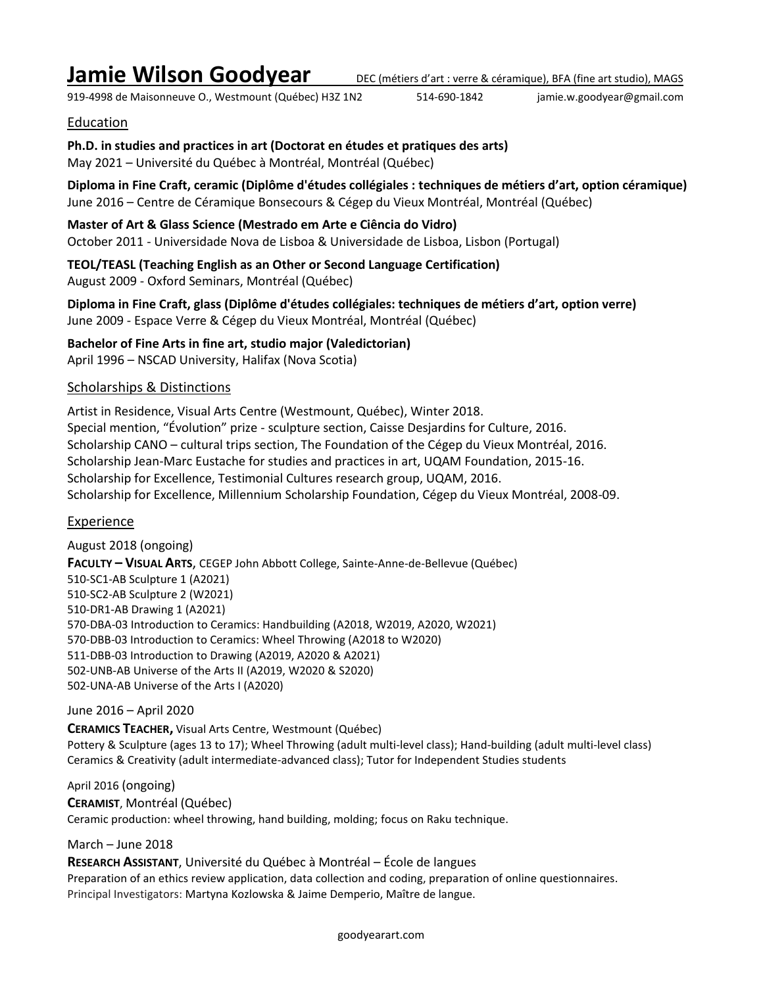# **Jamie Wilson Goodyear** DEC (métiers d'art : verre & céramique), BFA (fine art studio), MAGS

919-4998 de Maisonneuve O., Westmount (Québec) H3Z 1N2 514-690-1842 jamie.w.goodyear@gmail.com

# Education

**Ph.D. in studies and practices in art (Doctorat en études et pratiques des arts)** May 2021 – Université du Québec à Montréal, Montréal (Québec)

**Diploma in Fine Craft, ceramic (Diplôme d'études collégiales : techniques de métiers d'art, option céramique)** June 2016 – Centre de Céramique Bonsecours & Cégep du Vieux Montréal, Montréal (Québec)

**Master of Art & Glass Science (Mestrado em Arte e Ciência do Vidro)** October 2011 - Universidade Nova de Lisboa & Universidade de Lisboa, Lisbon (Portugal)

**TEOL/TEASL (Teaching English as an Other or Second Language Certification)** August 2009 - Oxford Seminars, Montréal (Québec)

**Diploma in Fine Craft, glass (Diplôme d'études collégiales: techniques de métiers d'art, option verre)** June 2009 - Espace Verre & Cégep du Vieux Montréal, Montréal (Québec)

**Bachelor of Fine Arts in fine art, studio major (Valedictorian)** April 1996 – NSCAD University, Halifax (Nova Scotia)

# Scholarships & Distinctions

Artist in Residence, Visual Arts Centre (Westmount, Québec), Winter 2018. Special mention, "Évolution" prize - sculpture section, Caisse Desjardins for Culture, 2016. Scholarship CANO – cultural trips section, The Foundation of the Cégep du Vieux Montréal, 2016. Scholarship Jean-Marc Eustache for studies and practices in art, UQAM Foundation, 2015-16. Scholarship for Excellence, Testimonial Cultures research group, UQAM, 2016. Scholarship for Excellence, Millennium Scholarship Foundation, Cégep du Vieux Montréal, 2008-09.

# Experience

August 2018 (ongoing) **FACULTY – VISUAL ARTS**, CEGEP John Abbott College, Sainte-Anne-de-Bellevue (Québec) 510-SC1-AB Sculpture 1 (A2021) 510-SC2-AB Sculpture 2 (W2021) 510-DR1-AB Drawing 1 (A2021) 570-DBA-03 Introduction to Ceramics: Handbuilding (A2018, W2019, A2020, W2021) 570-DBB-03 Introduction to Ceramics: Wheel Throwing (A2018 to W2020) 511-DBB-03 Introduction to Drawing (A2019, A2020 & A2021) 502-UNB-AB Universe of the Arts II (A2019, W2020 & S2020) 502-UNA-AB Universe of the Arts I (A2020)

# June 2016 – April 2020

**CERAMICS TEACHER,** Visual Arts Centre, Westmount (Québec) Pottery & Sculpture (ages 13 to 17); Wheel Throwing (adult multi-level class); Hand-building (adult multi-level class) Ceramics & Creativity (adult intermediate-advanced class); Tutor for Independent Studies students

April 2016 (ongoing)

**CERAMIST**, Montréal (Québec)

Ceramic production: wheel throwing, hand building, molding; focus on Raku technique.

# March – June 2018

**RESEARCH ASSISTANT**, Université du Québec à Montréal – École de langues Preparation of an ethics review application, data collection and coding, preparation of online questionnaires. Principal Investigators: Martyna Kozlowska & Jaime Demperio, Maître de langue.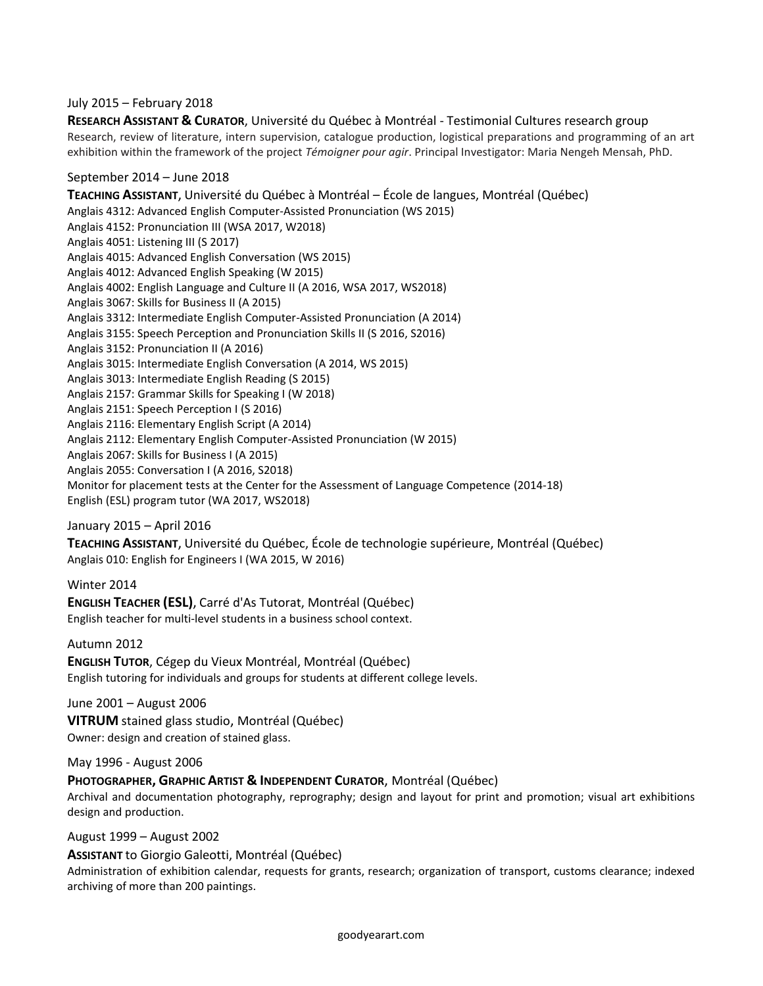#### July 2015 – February 2018

**RESEARCH ASSISTANT & CURATOR**, Université du Québec à Montréal - Testimonial Cultures research group Research, review of literature, intern supervision, catalogue production, logistical preparations and programming of an art exhibition within the framework of the project *Témoigner pour agir*. Principal Investigator: Maria Nengeh Mensah, PhD.

## September 2014 – June 2018

**TEACHING ASSISTANT**, Université du Québec à Montréal – École de langues, Montréal (Québec) Anglais 4312: Advanced English Computer-Assisted Pronunciation (WS 2015) Anglais 4152: Pronunciation III (WSA 2017, W2018) Anglais 4051: Listening III (S 2017) Anglais 4015: Advanced English Conversation (WS 2015) Anglais 4012: Advanced English Speaking (W 2015) Anglais 4002: English Language and Culture II (A 2016, WSA 2017, WS2018) Anglais 3067: Skills for Business II (A 2015) Anglais 3312: Intermediate English Computer-Assisted Pronunciation (A 2014) Anglais 3155: Speech Perception and Pronunciation Skills II (S 2016, S2016) Anglais 3152: Pronunciation II (A 2016) Anglais 3015: Intermediate English Conversation (A 2014, WS 2015) Anglais 3013: Intermediate English Reading (S 2015) Anglais 2157: Grammar Skills for Speaking I (W 2018) Anglais 2151: Speech Perception I (S 2016) Anglais 2116: Elementary English Script (A 2014) Anglais 2112: Elementary English Computer-Assisted Pronunciation (W 2015) Anglais 2067: Skills for Business I (A 2015) Anglais 2055: Conversation I (A 2016, S2018) Monitor for placement tests at the Center for the Assessment of Language Competence (2014-18) English (ESL) program tutor (WA 2017, WS2018)

# January 2015 – April 2016

**TEACHING ASSISTANT**, Université du Québec, École de technologie supérieure, Montréal (Québec) Anglais 010: English for Engineers I (WA 2015, W 2016)

Winter 2014 **ENGLISH TEACHER (ESL)**, Carré d'As Tutorat, Montréal (Québec) English teacher for multi-level students in a business school context.

Autumn 2012

**ENGLISH TUTOR**, Cégep du Vieux Montréal, Montréal (Québec) English tutoring for individuals and groups for students at different college levels.

June 2001 – August 2006

**VITRUM** stained glass studio, Montréal (Québec) Owner: design and creation of stained glass.

May 1996 - August 2006

**PHOTOGRAPHER, GRAPHIC ARTIST & INDEPENDENT CURATOR**, Montréal (Québec)

Archival and documentation photography, reprography; design and layout for print and promotion; visual art exhibitions design and production.

August 1999 – August 2002

**ASSISTANT** to Giorgio Galeotti, Montréal (Québec)

Administration of exhibition calendar, requests for grants, research; organization of transport, customs clearance; indexed archiving of more than 200 paintings.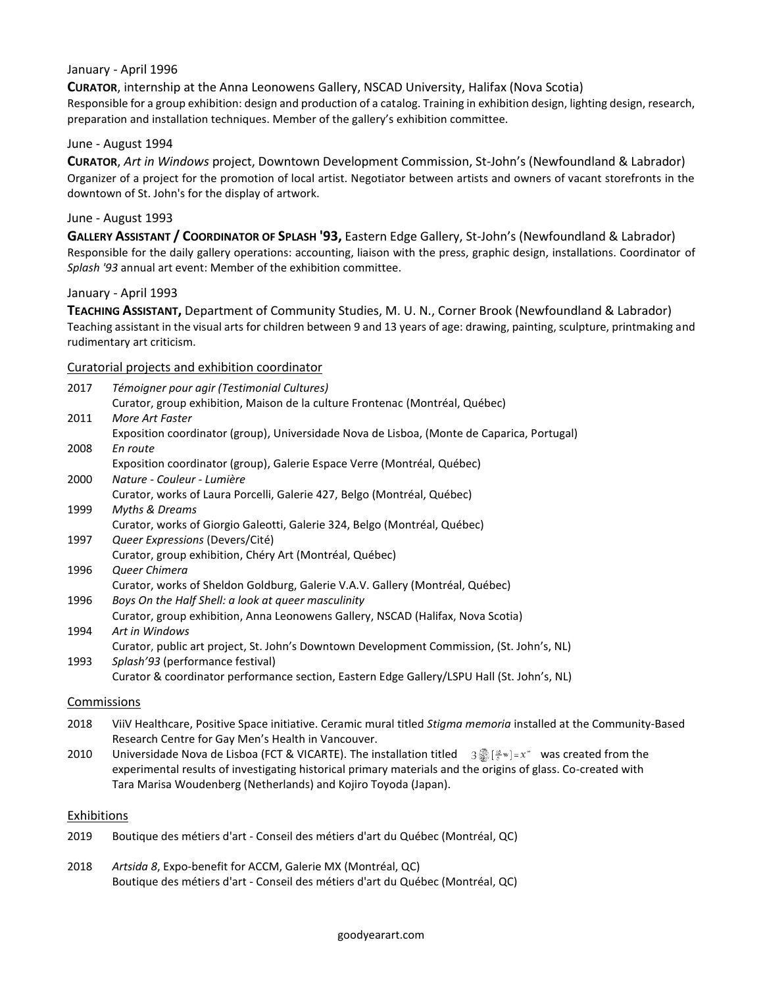#### January - April 1996

**CURATOR**, internship at the Anna Leonowens Gallery, NSCAD University, Halifax (Nova Scotia) Responsible for a group exhibition: design and production of a catalog. Training in exhibition design, lighting design, research, preparation and installation techniques. Member of the gallery's exhibition committee.

#### June - August 1994

**CURATOR**, *Art in Windows* project, Downtown Development Commission, St-John's (Newfoundland & Labrador) Organizer of a project for the promotion of local artist. Negotiator between artists and owners of vacant storefronts in the downtown of St. John's for the display of artwork.

#### June - August 1993

**GALLERY ASSISTANT / COORDINATOR OF SPLASH '93,** Eastern Edge Gallery, St-John's (Newfoundland & Labrador) Responsible for the daily gallery operations: accounting, liaison with the press, graphic design, installations. Coordinator of *Splash '93* annual art event: Member of the exhibition committee.

#### January - April 1993

**TEACHING ASSISTANT,** Department of Community Studies, M. U. N., Corner Brook (Newfoundland & Labrador) Teaching assistant in the visual arts for children between 9 and 13 years of age: drawing, painting, sculpture, printmaking and rudimentary art criticism.

#### Curatorial projects and exhibition coordinator

| 2017 | Témoigner pour agir (Testimonial Cultures)                                                 |
|------|--------------------------------------------------------------------------------------------|
|      | Curator, group exhibition, Maison de la culture Frontenac (Montréal, Québec)               |
| 2011 | More Art Faster                                                                            |
|      | Exposition coordinator (group), Universidade Nova de Lisboa, (Monte de Caparica, Portugal) |
| 2008 | En route                                                                                   |
|      | Exposition coordinator (group), Galerie Espace Verre (Montréal, Québec)                    |
| 2000 | Nature - Couleur - Lumière                                                                 |
|      | Curator, works of Laura Porcelli, Galerie 427, Belgo (Montréal, Québec)                    |
| 1999 | Myths & Dreams                                                                             |
|      | Curator, works of Giorgio Galeotti, Galerie 324, Belgo (Montréal, Québec)                  |
| 1997 | Queer Expressions (Devers/Cité)                                                            |
|      | Curator, group exhibition, Chéry Art (Montréal, Québec)                                    |
| 1996 | Queer Chimera                                                                              |
|      | Curator, works of Sheldon Goldburg, Galerie V.A.V. Gallery (Montréal, Québec)              |
| 1996 | Boys On the Half Shell: a look at queer masculinity                                        |
|      | Curator, group exhibition, Anna Leonowens Gallery, NSCAD (Halifax, Nova Scotia)            |
| 1994 | Art in Windows                                                                             |
|      | Curator, public art project, St. John's Downtown Development Commission, (St. John's, NL)  |
| 1993 | Splash'93 (performance festival)                                                           |
|      | Curator & coordinator performance section, Eastern Edge Gallery/LSPU Hall (St. John's, NL) |
|      |                                                                                            |

#### Commissions

- 2018 ViiV Healthcare, Positive Space initiative. Ceramic mural titled *Stigma memoria* installed at the Community-Based Research Centre for Gay Men's Health in Vancouver.
- 2010 Universidade Nova de Lisboa (FCT & VICARTE). The installation titled  $3\frac{88}{8}[\frac{18}{8}w]=x^*$  was created from the experimental results of investigating historical primary materials and the origins of glass. Co-created with Tara Marisa Woudenberg (Netherlands) and Kojiro Toyoda (Japan).

## Exhibitions

| 2019 | Boutique des métiers d'art - Conseil des métiers d'art du Québec (Montréal, QC) |  |  |
|------|---------------------------------------------------------------------------------|--|--|
|------|---------------------------------------------------------------------------------|--|--|

2018 *Artsida 8*, Expo-benefit for ACCM, Galerie MX (Montréal, QC) Boutique des métiers d'art - Conseil des métiers d'art du Québec (Montréal, QC)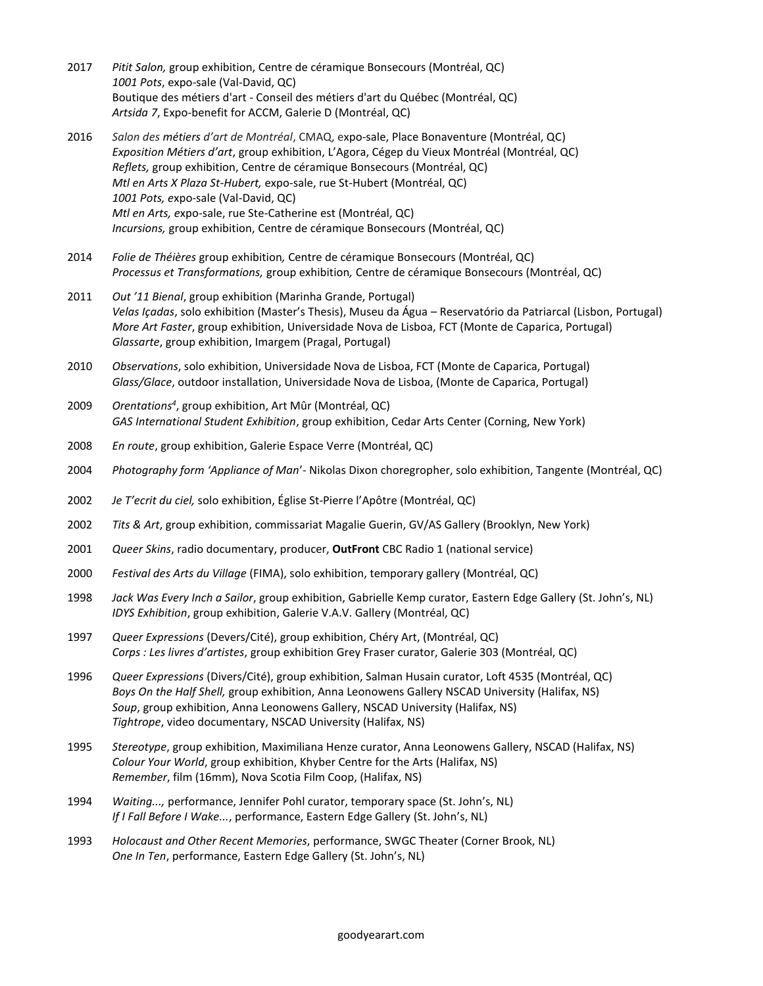- 2017 *Pitit Salon,* group exhibition, Centre de céramique Bonsecours (Montréal, QC) *1001 Pots*, expo-sale (Val-David, QC) Boutique des métiers d'art - Conseil des métiers d'art du Québec (Montréal, QC) *Artsida 7*, Expo-benefit for ACCM, Galerie D (Montréal, QC)
- 2016 *Salon des métiers d'art de Montréal*, CMAQ, expo-sale, Place Bonaventure (Montréal, QC) *Exposition Métiers d'art*, group exhibition, L'Agora, Cégep du Vieux Montréal (Montréal, QC) *Reflets,* group exhibition, Centre de céramique Bonsecours (Montréal, QC) *Mtl en Arts X Plaza St-Hubert,* expo-sale, rue St-Hubert (Montréal, QC) *1001 Pots, e*xpo-sale (Val-David, QC) *Mtl en Arts, e*xpo-sale, rue Ste-Catherine est (Montréal, QC) *Incursions,* group exhibition, Centre de céramique Bonsecours (Montréal, QC)
- 2014 *Folie de Théières* group exhibition*,* Centre de céramique Bonsecours (Montréal, QC) *Processus et Transformations,* group exhibition*,* Centre de céramique Bonsecours (Montréal, QC)
- 2011 *Out '11 Bienal*, group exhibition (Marinha Grande, Portugal) *Velas Içadas*, solo exhibition (Master's Thesis), Museu da Água – Reservatório da Patriarcal (Lisbon, Portugal) *More Art Faster*, group exhibition, Universidade Nova de Lisboa, FCT (Monte de Caparica, Portugal) *Glassarte*, group exhibition, Imargem (Pragal, Portugal)
- 2010 *Observations*, solo exhibition, Universidade Nova de Lisboa, FCT (Monte de Caparica, Portugal) *Glass/Glace*, outdoor installation, Universidade Nova de Lisboa, (Monte de Caparica, Portugal)
- 2009 *Orentations<sup>4</sup>* , group exhibition, Art Mûr (Montréal, QC) *GAS International Student Exhibition*, group exhibition, Cedar Arts Center (Corning, New York)
- 2008 *En route*, group exhibition, Galerie Espace Verre (Montréal, QC)
- 2004 *Photography form 'Appliance of Man*'- Nikolas Dixon choregropher, solo exhibition, Tangente (Montréal, QC)
- 2002 *Je T'ecrit du ciel,* solo exhibition, Église St-Pierre l'Apôtre (Montréal, QC)
- 2002 *Tits & Art*, group exhibition, commissariat Magalie Guerin, GV/AS Gallery (Brooklyn, New York)
- 2001 *Queer Skins*, radio documentary, producer, **OutFront** CBC Radio 1 (national service)
- 2000 *Festival des Arts du Village* (FIMA), solo exhibition, temporary gallery (Montréal, QC)
- 1998 *Jack Was Every Inch a Sailor*, group exhibition, Gabrielle Kemp curator, Eastern Edge Gallery (St. John's, NL) *IDYS Exhibition*, group exhibition, Galerie V.A.V. Gallery (Montréal, QC)
- 1997 *Queer Expressions* (Devers/Cité), group exhibition, Chéry Art, (Montréal, QC) *Corps : Les livres d'artistes*, group exhibition Grey Fraser curator, Galerie 303 (Montréal, QC)
- 1996 *Queer Expressions* (Divers/Cité), group exhibition, Salman Husain curator, Loft 4535 (Montréal, QC) *Boys On the Half Shell,* group exhibition, Anna Leonowens Gallery NSCAD University (Halifax, NS) *Soup*, group exhibition, Anna Leonowens Gallery, NSCAD University (Halifax, NS) *Tightrope*, video documentary, NSCAD University (Halifax, NS)
- 1995 *Stereotype*, group exhibition, Maximiliana Henze curator, Anna Leonowens Gallery, NSCAD (Halifax, NS) *Colour Your World*, group exhibition, Khyber Centre for the Arts (Halifax, NS) *Remember*, film (16mm), Nova Scotia Film Coop, (Halifax, NS)
- 1994 *Waiting...,* performance, Jennifer Pohl curator, temporary space (St. John's, NL) *If I Fall Before I Wake...*, performance, Eastern Edge Gallery (St. John's, NL)
- 1993 *Holocaust and Other Recent Memories*, performance, SWGC Theater (Corner Brook, NL) *One In Ten*, performance, Eastern Edge Gallery (St. John's, NL)